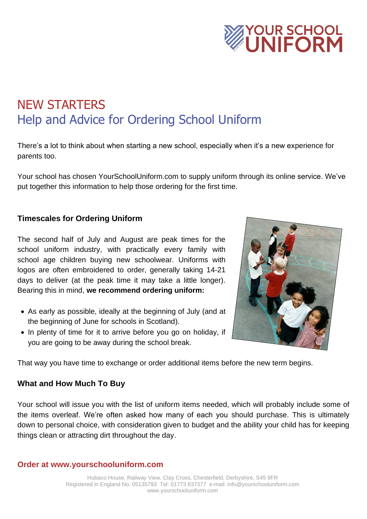

# NEW STARTERS Help and Advice for Ordering School Uniform

There's a lot to think about when starting a new school, especially when it's a new experience for parents too.

Your school has chosen YourSchoolUniform.com to supply uniform through its online service. We've put together this information to help those ordering for the first time.

## **Timescales for Ordering Uniform**

The second half of July and August are peak times for the school uniform industry, with practically every family with school age children buying new schoolwear. Uniforms with logos are often embroidered to order, generally taking 14-21 days to deliver (at the peak time it may take a little longer). Bearing this in mind, **we recommend ordering uniform:**

- As early as possible, ideally at the beginning of July (and at the beginning of June for schools in Scotland).
- In plenty of time for it to arrive before you go on holiday, if you are going to be away during the school break.



That way you have time to exchange or order additional items before the new term begins.

### **What and How Much To Buy**

Your school will issue you with the list of uniform items needed, which will probably include some of the items overleaf. We're often asked how many of each you should purchase. This is ultimately down to personal choice, with consideration given to budget and the ability your child has for keeping things clean or attracting dirt throughout the day.

#### **Order at www.yourschooluniform.com**